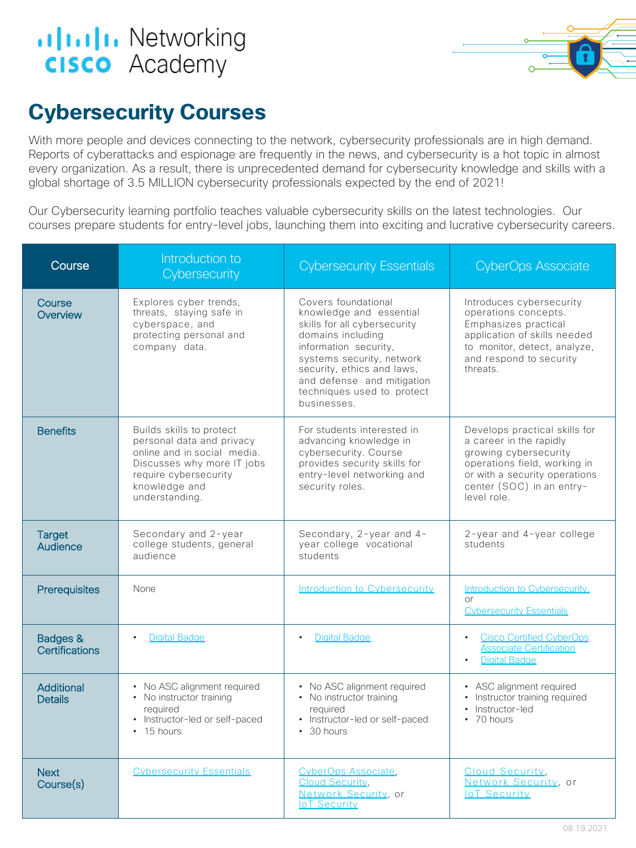## **altala** Networking **cisco** Academy



## **Cybersecurity Courses**

With more people and devices connecting to the network, cybersecurity professionals are in high demand. Reports of cyberattacks and espionage are frequently in the news, and cybersecurity is a hot topic in almost every organization. As a result, there is unprecedented demand for cybersecurity knowledge and skills with a global shortage of 3.5 MILLION cybersecurity professionals expected by the end of 2021!

Our Cybersecurity learning portfolio teaches valuable cybersecurity skills on the latest technologies. Our courses prepare students for entry-level jobs, launching them into exciting and lucrative cybersecurity careers.

| Course                       | Introduction to<br>Cybersecurity                                                                                                                                               | <b>Cybersecurity Essentials</b>                                                                                                                                                                                                                                    | <b>CyberOps Associate</b>                                                                                                                                                                      |
|------------------------------|--------------------------------------------------------------------------------------------------------------------------------------------------------------------------------|--------------------------------------------------------------------------------------------------------------------------------------------------------------------------------------------------------------------------------------------------------------------|------------------------------------------------------------------------------------------------------------------------------------------------------------------------------------------------|
| Course<br>Overview           | Explores cyber trends,<br>threats, staving safe in<br>cyberspace, and<br>protecting personal and<br>company data.                                                              | Covers foundational<br>knowledge and essential<br>skills for all cybersecurity<br>domains including<br>information security,<br>systems security, network<br>security, ethics and laws,<br>and defense and mitigation<br>techniques used to protect<br>businesses. | Introduces cybersecurity<br>operations concepts.<br>Emphasizes practical<br>application of skills needed<br>to monitor, detect, analyze,<br>and respond to security<br>threats                 |
| <b>Benefits</b>              | Builds skills to protect<br>personal data and privacy<br>online and in social media.<br>Discusses why more IT jobs<br>require cybersecurity<br>knowledge and<br>understanding. | For students interested in<br>advancing knowledge in<br>cybersecurity. Course<br>provides security skills for<br>entry-level networking and<br>security roles.                                                                                                     | Develops practical skills for<br>a career in the rapidly<br>growing cybersecurity<br>operations field, working in<br>or with a security operations<br>center (SOC) in an entry-<br>level role. |
| <b>Target</b><br>Audience    | Secondary and 2-year<br>college students, general<br>audience                                                                                                                  | Secondary, 2-year and 4-<br>year college vocational<br>students                                                                                                                                                                                                    | 2-year and 4-year college<br>students                                                                                                                                                          |
| Prerequisites                | None                                                                                                                                                                           | Introduction to Cybersecurity                                                                                                                                                                                                                                      | Introduction to Cybersecurity.<br><b>or</b><br><b>Cybersecurity Essentials</b>                                                                                                                 |
| Badges &<br>Certifications   | <b>Digital Badge</b>                                                                                                                                                           | <b>Digital Badge</b><br>$\bullet$                                                                                                                                                                                                                                  | <b>Cisco Certified CyberOps</b><br>$\bullet$<br><b>Associate Certification</b><br><b>Digital Badge</b>                                                                                         |
| Additional<br><b>Details</b> | • No ASC alignment required<br>• No instructor training<br>reauired<br>• Instructor-led or self-paced<br>$\cdot$ 15 hours                                                      | • No ASC alignment required<br>• No instructor training<br>reauired<br>• Instructor-led or self-paced<br>$\cdot$ 30 hours                                                                                                                                          | • ASC alignment required<br>Instructor training required<br>Instructor-led<br>$\cdot$ 70 hours                                                                                                 |
| <b>Next</b><br>Course(s)     | <b>Cybersecurity Essentials</b>                                                                                                                                                | CyberOps Associate.<br>Cloud Security,<br>Network Security, or<br><b>IoT Security</b>                                                                                                                                                                              | Cloud Security.<br>Network Security, or<br><b>IoT Security</b>                                                                                                                                 |